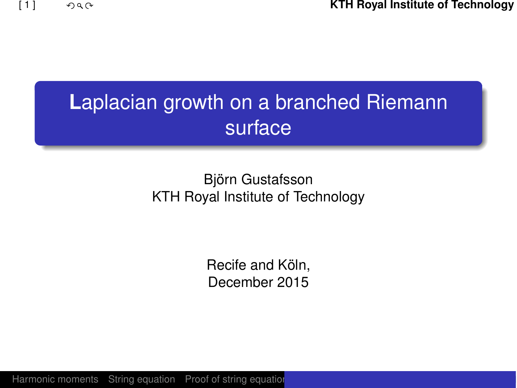[1] **KTH Royal Institute of Technology**

# **L**aplacian growth on a branched Riemann surface

### Björn Gustafsson KTH Royal Institute of Technology

Recife and Köln, December 2015

[Harmonic moments](#page-3-0) [String equation](#page-7-0) [Proof of string equation](#page-8-0)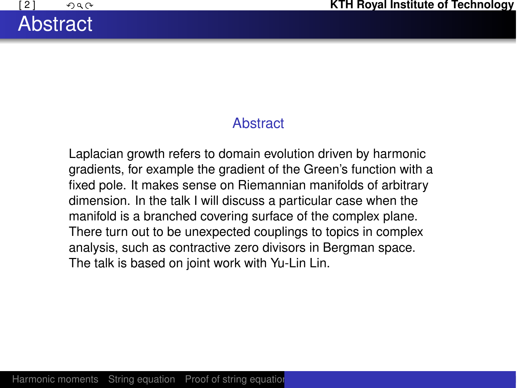### **Abstract**

Laplacian growth refers to domain evolution driven by harmonic gradients, for example the gradient of the Green's function with a fixed pole. It makes sense on Riemannian manifolds of arbitrary dimension. In the talk I will discuss a particular case when the manifold is a branched covering surface of the complex plane. There turn out to be unexpected couplings to topics in complex analysis, such as contractive zero divisors in Bergman space. The talk is based on joint work with Yu-Lin Lin.

**Abstract**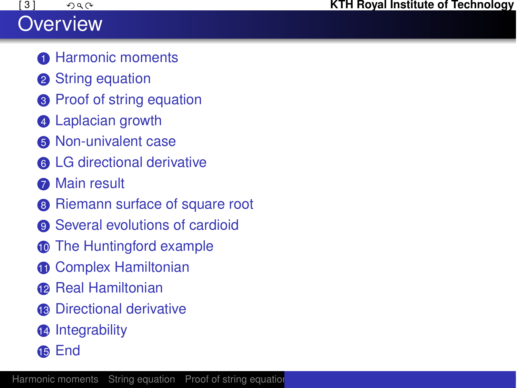## **Overview**

- [Harmonic moments](#page-3-0)
- <sup>2</sup> [String equation](#page-7-0)
- <sup>3</sup> [Proof of string equation](#page-8-0)
- [Laplacian growth](#page-10-0)
- [Non-univalent case](#page-12-0)
- [LG directional derivative](#page-15-0)
- **R** [Main result](#page-17-0)
- [Riemann surface of square root](#page-18-0)
- [Several evolutions of cardioid](#page-22-0)
- [The Huntingford example](#page-29-0)
- [Complex Hamiltonian](#page-31-0)
- **[Real Hamiltonian](#page-34-0)**
- <sup>13</sup> [Directional derivative](#page-36-0)
- [Integrability](#page-39-0)
- [End](#page-43-0)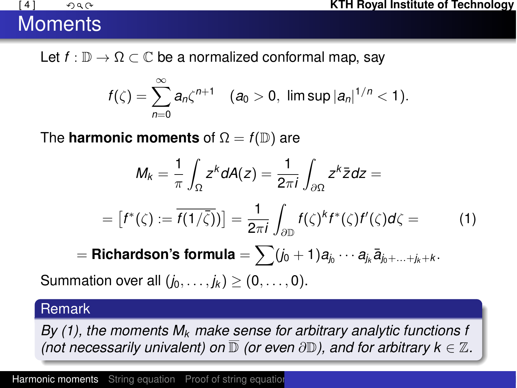# **Moments**

Let  $f : \mathbb{D} \to \Omega \subset \mathbb{C}$  be a normalized conformal map, say

$$
f(\zeta)=\sum_{n=0}^{\infty}a_n\zeta^{n+1} \quad (a_0>0, \ \limsup |a_n|^{1/n}<1).
$$

The **harmonic moments** of  $\Omega = f(\mathbb{D})$  are

$$
M_k = \frac{1}{\pi} \int_{\Omega} z^k dA(z) = \frac{1}{2\pi i} \int_{\partial \Omega} z^k \bar{z} dz =
$$

$$
= [f^*(\zeta) := \overline{f(1/\overline{\zeta})}] = \frac{1}{2\pi i} \int_{\partial \mathbb{D}} f(\zeta)^k f^*(\zeta) f'(\zeta) d\zeta =
$$
(1)

<span id="page-3-1"></span><span id="page-3-0"></span> $\mathbf{F} = \mathsf{Richardson's formula} = \sum_j (j_0 + 1)a_j \cdots a_{j_k} \overline{a}_{j_0 + \ldots + j_k + k}.$ 

Summation over all  $(i_0, ..., i_k)$  >  $(0, ..., 0)$ .

#### Remark

*By [\(1\)](#page-3-1), the moments*  $M_k$  *make sense for arbitrary analytic functions f (not necessarily univalent) on*  $\mathbb D$  *(or even*  $\partial \mathbb D$ *), and for arbitrary k*  $\in \mathbb Z$ *.*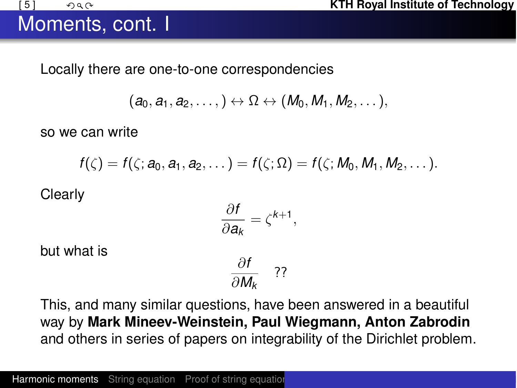### Moments, cont. I

Locally there are one-to-one correspondencies

$$
(a_0,a_1,a_2,\ldots, )\leftrightarrow \Omega \leftrightarrow (M_0,M_1,M_2,\ldots),
$$

so we can write

$$
f(\zeta)=f(\zeta;a_0,a_1,a_2,\dots)=f(\zeta;\Omega)=f(\zeta;M_0,M_1,M_2,\dots).
$$

**Clearly** 

$$
\frac{\partial f}{\partial \mathbf{a}_k} = \zeta^{k+1},
$$

but what is

$$
\frac{\partial f}{\partial M_k} \quad ??
$$

This, and many similar questions, have been answered in a beautiful way by **Mark Mineev-Weinstein, Paul Wiegmann, Anton Zabrodin** and others in series of papers on integrability of the Dirichlet problem.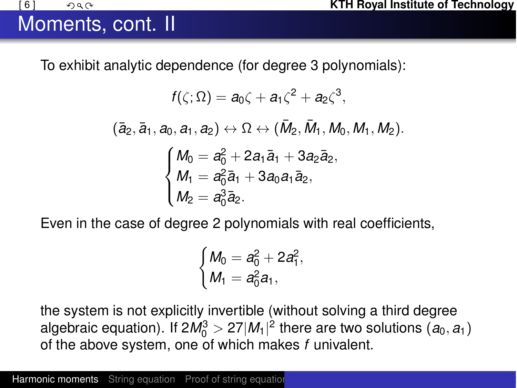### Moments, cont. II

To exhibit analytic dependence (for degree 3 polynomials):

$$
f(\zeta; \Omega) = a_0 \zeta + a_1 \zeta^2 + a_2 \zeta^3,
$$
  
\n
$$
(\bar{a}_2, \bar{a}_1, a_0, a_1, a_2) \leftrightarrow \Omega \leftrightarrow (\bar{M}_2, \bar{M}_1, M_0, M_1, M_2).
$$
  
\n
$$
\begin{cases}\nM_0 = a_0^2 + 2a_1 \bar{a}_1 + 3a_2 \bar{a}_2, \\
M_1 = a_0^2 \bar{a}_1 + 3a_0 a_1 \bar{a}_2, \\
M_2 = a_0^3 \bar{a}_2.\n\end{cases}
$$

Even in the case of degree 2 polynomials with real coefficients,

$$
\begin{cases} M_0 = a_0^2 + 2a_1^2, \\ M_1 = a_0^2a_1, \end{cases}
$$

the system is not explicitly invertible (without solving a third degree algebraic equation). If  $2M_0^3 > 27|M_1|^2$  there are two solutions  $(a_0, a_1)$ of the above system, one of which makes *f* univalent.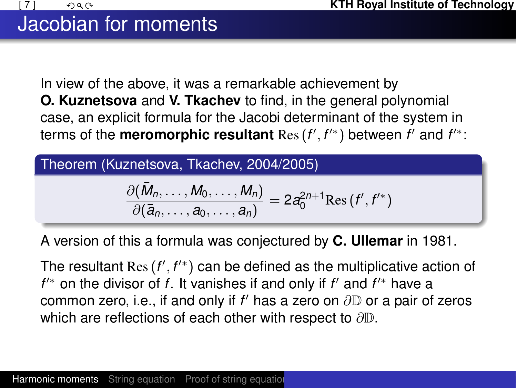In view of the above, it was a remarkable achievement by **O. Kuznetsova** and **V. Tkachev** to find, in the general polynomial case, an explicit formula for the Jacobi determinant of the system in terms of the **meromorphic resultant**  $\text{Res}\left(f',f'^{*}\right)$  between  $f'$  and  $f'^{*}$ :

Theorem (Kuznetsova, Tkachev, 2004/2005)

$$
\frac{\partial(\bar{M}_n,\ldots,M_0,\ldots,M_n)}{\partial(\bar{a}_n,\ldots,a_0,\ldots,a_n)}=2a_0^{2n+1}\mathrm{Res}\,(f',f'^*)
$$

A version of this a formula was conjectured by **C. Ullemar** in 1981.

The resultant Res (*f'* , *f'*\*) can be defined as the multiplicative action of  $f^{\prime\ast}$  on the divisor of *f*. It vanishes if and only if  $f'$  and  $f^{\prime\ast}$  have a common zero, i.e., if and only if  $f'$  has a zero on  $\partial \mathbb{D}$  or a pair of zeros which are reflections of each other with respect to  $\partial \mathbb{D}$ .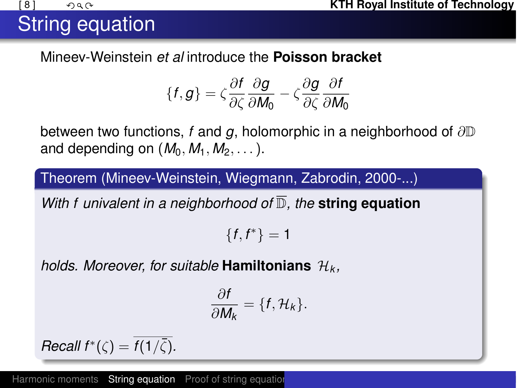# String equation

Mineev-Weinstein *et al* introduce the **Poisson bracket**

$$
\{f,g\} = \zeta \frac{\partial f}{\partial \zeta} \frac{\partial g}{\partial M_0} - \zeta \frac{\partial g}{\partial \zeta} \frac{\partial f}{\partial M_0}
$$

between two functions, f and g, holomorphic in a neighborhood of  $\partial \mathbb{D}$ and depending on  $(M_0, M_1, M_2, \ldots)$ .

Theorem (Mineev-Weinstein, Wiegmann, Zabrodin, 2000-...)

*With f univalent in a neighborhood of* D*, the* **string equation**

 ${f, f^*} = 1$ 

*holds. Moreover, for suitable* **Hamiltonians** *H<sup>k</sup> ,*

<span id="page-7-0"></span>
$$
\frac{\partial f}{\partial M_k} = \{f, \mathcal{H}_k\}.
$$

*Recall f*<sup>\*</sup> $(\zeta) = \overline{f(1/\overline{\zeta})}$ *.* 

[Harmonic moments](#page-3-0) [String equation](#page-7-0) [Proof of string equation](#page-8-0)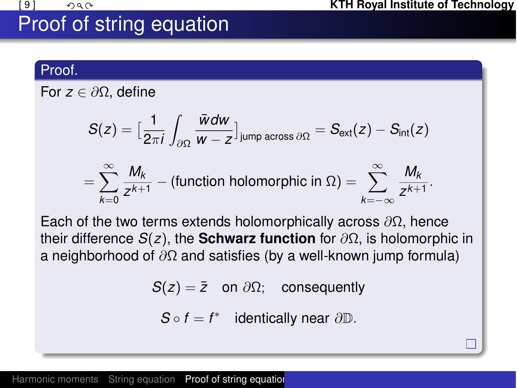# Proof of string equation

### Proof.

For  $z \in \partial \Omega$ , define

$$
S(z) = \left[\frac{1}{2\pi i} \int_{\partial \Omega} \frac{\bar{w}dw}{w - z}\right]_{\text{jump across }\partial \Omega} = S_{\text{ext}}(z) - S_{\text{int}}(z)
$$

$$
= \sum_{k=0}^{\infty} \frac{M_k}{z^{k+1}} - \text{(function holomorphic in } \Omega) = \sum_{k=-\infty}^{\infty} \frac{M_k}{z^{k+1}}.
$$

Each of the two terms extends holomorphically across  $\partial\Omega$ , hence their difference  $S(z)$ , the **Schwarz function** for  $\partial\Omega$ , is holomorphic in a neighborhood of  $\partial\Omega$  and satisfies (by a well-known jump formula)

 $S(z) = \overline{z}$  on  $\partial \Omega$ ; consequently

<span id="page-8-0"></span> $S \circ f = f^*$  identically near  $\partial \mathbb{D}$ .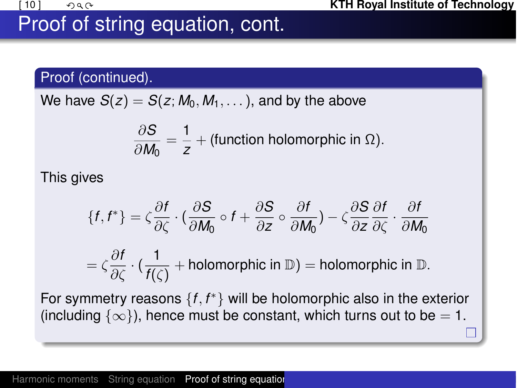# Proof of string equation, cont.

### Proof (continued).

We have  $S(z) = S(z; M_0, M_1, \ldots)$ , and by the above

$$
\frac{\partial S}{\partial M_0} = \frac{1}{z} + \text{(function holomorphic in } \Omega\text{)}.
$$

This gives

$$
\{f, f^*\} = \zeta \frac{\partial f}{\partial \zeta} \cdot \left(\frac{\partial S}{\partial M_0} \circ f + \frac{\partial S}{\partial z} \circ \frac{\partial f}{\partial M_0}\right) - \zeta \frac{\partial S}{\partial z} \frac{\partial f}{\partial \zeta} \cdot \frac{\partial f}{\partial M_0}
$$

$$
= \zeta \frac{\partial f}{\partial \zeta} \cdot \left(\frac{1}{f(\zeta)} + \text{holomorphic in } \mathbb{D}\right) = \text{holomorphic in } \mathbb{D}.
$$

For symmetry reasons  $\{f, f^*\}$  will be holomorphic also in the exterior (including  $\{\infty\}$ ), hence must be constant, which turns out to be = 1.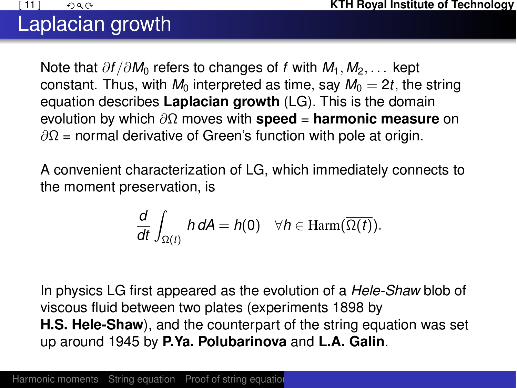## Laplacian growth

Note that  $\partial f / \partial M_0$  refers to changes of f with  $M_1, M_2, \ldots$  kept constant. Thus, with  $M_0$  interpreted as time, say  $M_0 = 2t$ , the string equation describes **Laplacian growth** (LG). This is the domain evolution by which  $\partial\Omega$  moves with **speed** = **harmonic measure** on  $\partial\Omega$  = normal derivative of Green's function with pole at origin.

A convenient characterization of LG, which immediately connects to the moment preservation, is

<span id="page-10-0"></span>
$$
\frac{d}{dt}\int_{\Omega(t)}h\,dA=h(0)\quad \forall h\in \mathrm{Harm}(\overline{\Omega(t)}).
$$

In physics LG first appeared as the evolution of a *Hele-Shaw* blob of viscous fluid between two plates (experiments 1898 by **H.S. Hele-Shaw**), and the counterpart of the string equation was set up around 1945 by **P.Ya. Polubarinova** and **L.A. Galin**.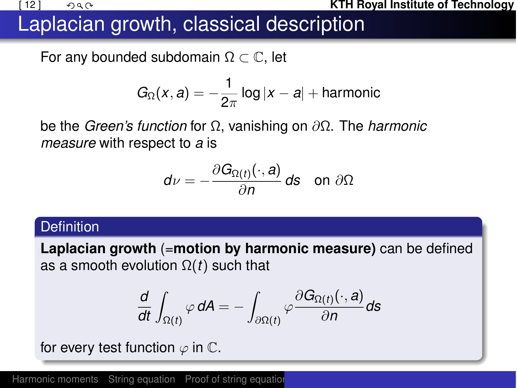#### **EXECUTE:**  $\bigcup_{\mathcal{A} \in \mathcal{A}} \mathcal{A}$  **KTH Royal Institute of Technology**

### Laplacian growth, classical description

For any bounded subdomain  $\Omega \subset \mathbb{C}$ , let

$$
G_{\Omega}(x,a)=-\frac{1}{2\pi}\log|x-a|+\text{harmonic}
$$

be the *Green's function* for ⌦, vanishing on @⌦. The *harmonic measure* with respect to *a* is

$$
d\nu=-\frac{\partial G_{\Omega(t)}(\cdot,a)}{\partial n}\,ds\quad\text{on }\partial\Omega
$$

#### **Definition**

**Laplacian growth** (=**motion by harmonic measure)** can be defined as a smooth evolution  $\Omega(t)$  such that

$$
\frac{d}{dt}\int_{\Omega(t)}\varphi\,dA=-\int_{\partial\Omega(t)}\varphi\frac{\partial G_{\Omega(t)}(\cdot,a)}{\partial n}ds
$$

for every test function  $\varphi$  in  $\mathbb{C}$ .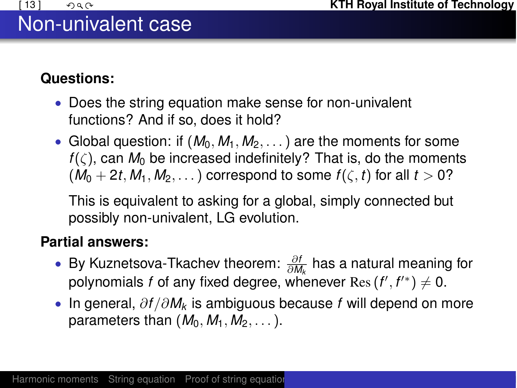## Non-univalent case

### **Questions:**

- *•* Does the string equation make sense for non-univalent functions? And if so, does it hold?
- Global question: if  $(M_0, M_1, M_2, ...)$  are the moments for some  $f(\zeta)$ , can  $M_0$  be increased indefinitely? That is, do the moments  $(M_0 + 2t, M_1, M_2, \ldots)$  correspond to some  $f(\zeta, t)$  for all  $t > 0$ ?

This is equivalent to asking for a global, simply connected but possibly non-univalent, LG evolution.

### **Partial answers:**

- **•** By Kuznetsova-Tkachev theorem:  $\frac{\partial f}{\partial M_k}$  has a natural meaning for polynomials  $f$  of any fixed degree, whenever  $\text{Res}\left(f',f'^{*}\right)\neq 0.$
- <span id="page-12-0"></span>*•* In general, @*f /*@*Mk* is ambiguous because *f* will depend on more parameters than  $(M_0, M_1, M_2, \ldots)$ .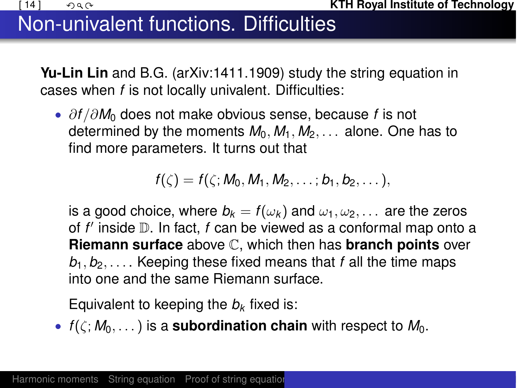# Non-univalent functions. Difficulties

**Yu-Lin Lin** and B.G. (arXiv:1411.1909) study the string equation in cases when *f* is not locally univalent. Difficulties:

*•* @*f /*@*M*<sup>0</sup> does not make obvious sense, because *f* is not determined by the moments  $M_0$ ,  $M_1$ ,  $M_2$ ,  $\ldots$  alone. One has to find more parameters. It turns out that

$$
f(\zeta)=f(\zeta; M_0, M_1, M_2, \ldots; b_1, b_2, \ldots),
$$

is a good choice, where  $b_k = f(\omega_k)$  and  $\omega_1, \omega_2, \ldots$  are the zeros of *f'* inside  $\mathbb D$ . In fact, *f* can be viewed as a conformal map onto a **Riemann surface** above C, which then has **branch points** over  $b_1, b_2, \ldots$ . Keeping these fixed means that *f* all the time maps into one and the same Riemann surface.

Equivalent to keeping the  $b_k$  fixed is:

•  $f(\zeta; M_0, \ldots)$  is a **subordination chain** with respect to  $M_0$ .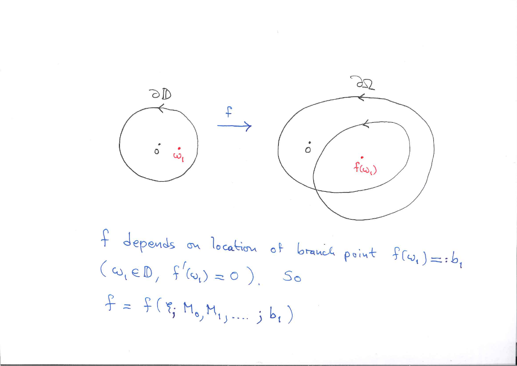

 $f$  depends on location of branch point  $f(\omega_i)=:b_i$  $(\omega, \varepsilon \mathbb{D}, f'(\omega_i) = 0)$ . So  $f = f(\xi_1 M_0, M_1, ..., j b_1)$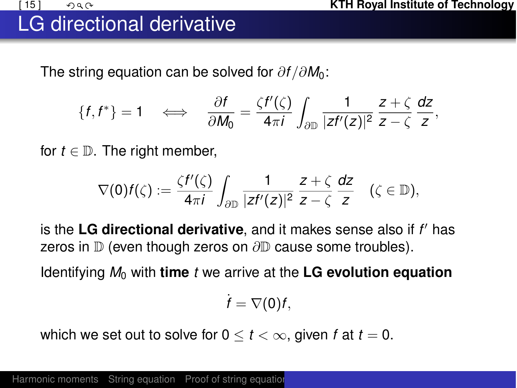# LG directional derivative

The string equation can be solved for  $\partial f / \partial M_0$ :

$$
\{f,f^*\}=1 \quad \Longleftrightarrow \quad \frac{\partial f}{\partial M_0}=\frac{\zeta f'(\zeta)}{4\pi i}\int_{\partial\mathbb{D}}\frac{1}{|zf'(z)|^2}\frac{z+\zeta}{z-\zeta}\frac{dz}{z},
$$

for  $t \in \mathbb{D}$ . The right member,

$$
\nabla(0)f(\zeta):=\frac{\zeta f'(\zeta)}{4\pi i}\int_{\partial\mathbb{D}}\frac{1}{|zf'(z)|^2}\frac{z+\zeta}{z-\zeta}\frac{dz}{z}\quad(\zeta\in\mathbb{D}),
$$

is the LG directional derivative, and it makes sense also if *f'* has zeros in  $D$  (even though zeros on  $\partial D$  cause some troubles).

Identifying  $M_0$  with **time** *t* we arrive at the LG evolution equation

<span id="page-15-0"></span> $\dot{f} = \nabla(0)f$ ,

which we set out to solve for  $0 \le t < \infty$ , given f at  $t = 0$ .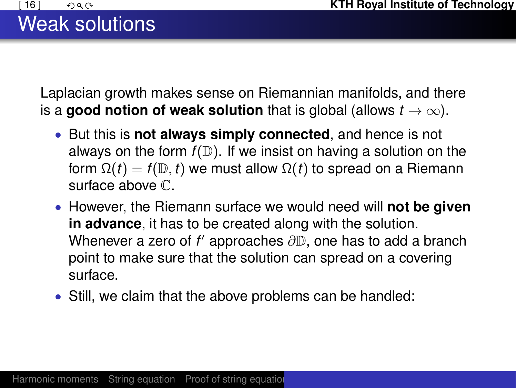# Weak solutions

Laplacian growth makes sense on Riemannian manifolds, and there is a **good notion of weak solution** that is global (allows  $t \to \infty$ ).

- *•* But this is **not always simply connected**, and hence is not always on the form  $f(D)$ . If we insist on having a solution on the form  $\Omega(t) = f(D, t)$  we must allow  $\Omega(t)$  to spread on a Riemann surface above C.
- *•* However, the Riemann surface we would need will **not be given in advance**, it has to be created along with the solution. Whenever a zero of  $f'$  approaches  $\partial\mathbb{D}$ , one has to add a branch point to make sure that the solution can spread on a covering surface.
- *•* Still, we claim that the above problems can be handled: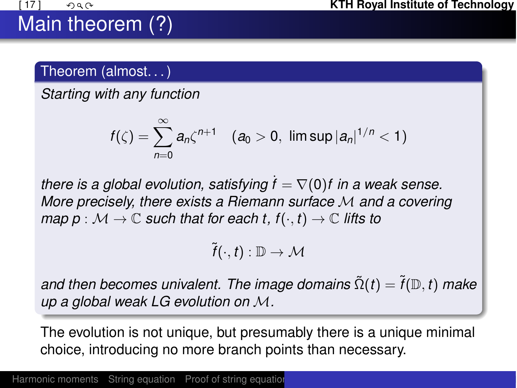# Main theorem (?)

### Theorem (almost. . . )

*Starting with any function*

$$
f(\zeta) = \sum_{n=0}^{\infty} a_n \zeta^{n+1} \quad (a_0 > 0, \ \limsup |a_n|^{1/n} < 1)
$$

*there is a global evolution, satisfying*  $f = \nabla(0)f$  in a weak sense. *More precisely, there exists a Riemann surface M and a covering map*  $p : \mathcal{M} \to \mathbb{C}$  *such that for each t, f* $(\cdot, t) \to \mathbb{C}$  *lifts to* 

<span id="page-17-0"></span> $\widetilde{f}(\cdot,t): \mathbb{D} \to \mathcal{M}$ 

*and then becomes univalent. The image domains*  $\tilde{\Omega}(t) = \tilde{f}(\mathbb{D}, t)$  *make up a global weak LG evolution on M.*

The evolution is not unique, but presumably there is a unique minimal choice, introducing no more branch points than necessary.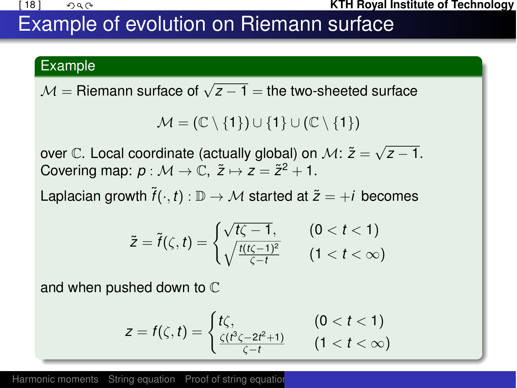#### **(18)**  $\bigcirc$  $\bigcirc$  $\bigcirc$  $\bigcirc$  $\bigcirc$  $\bigcirc$  $\bigcirc$  $\bigcirc$  $\bigcirc$  $\bigcirc$  $\bigcirc$  $\bigcirc$  $\bigcirc$  $\bigcirc$  $\bigcirc$  $\bigcirc$  $\bigcirc$  $\bigcirc$  $\bigcirc$  $\bigcirc$  $\bigcirc$  $\bigcirc$  $\bigcirc$  $\bigcirc$  $\bigcirc$  $\bigcirc$  $\bigcirc$  $\bigcirc$  $\bigcirc$  $\bigcirc$  $\bigcirc$  $\bigcirc$  $\bigcirc$  $\bigcirc$  $\bigcirc$  $\bigcirc$

## Example of evolution on Riemann surface

### Example

 $M =$  Riemann surface of  $\sqrt{z-1} =$  the two-sheeted surface

 $\mathcal{M} = (\mathbb{C} \setminus \{1\}) \cup \{1\} \cup (\mathbb{C} \setminus \{1\})$ 

over C. Local coordinate (actually global) on  $\mathcal{M}$ :  $\tilde{z} = \sqrt{z - 1}$ . Covering map:  $p : \mathcal{M} \to \mathbb{C}, \ \tilde{z} \mapsto z = \tilde{z}^2 + 1.$ 

Laplacian growth  $\tilde{f}(\cdot, t) : \mathbb{D} \to \mathcal{M}$  started at  $\tilde{z} = +i$  becomes

$$
\tilde{z} = \tilde{f}(\zeta, t) = \begin{cases} \sqrt{t\zeta - 1}, & (0 < t < 1) \\ \sqrt{\frac{t(t\zeta - 1)^2}{\zeta - t}} & (1 < t < \infty) \end{cases}
$$

and when pushed down to C

<span id="page-18-0"></span>
$$
z = f(\zeta, t) = \begin{cases} t\zeta, & (0 < t < 1) \\ \frac{\zeta(t^3\zeta - 2t^2 + 1)}{\zeta - t} & (1 < t < \infty) \end{cases}
$$

[Harmonic moments](#page-3-0) [String equation](#page-7-0) [Proof of string equation](#page-8-0)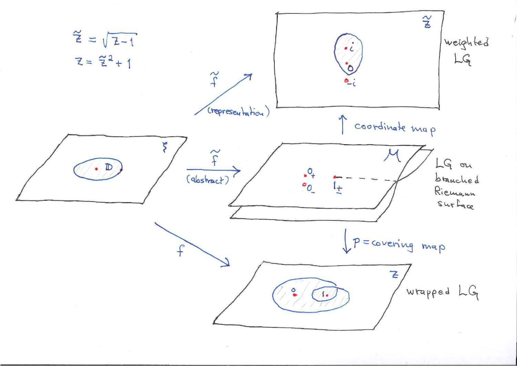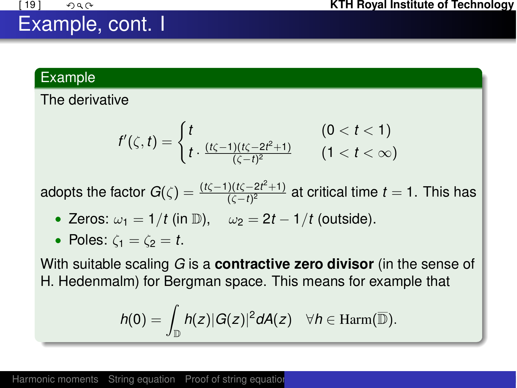### Example, cont. I

#### Example

The derivative

$$
f'(\zeta,t) = \begin{cases} t & (0 < t < 1) \\ t \cdot \frac{(t\zeta - 1)(t\zeta - 2t^2 + 1)}{(\zeta - t)^2} & (1 < t < \infty) \end{cases}
$$

adopts the factor  $G(\zeta) = \frac{(t\zeta-1)(t\zeta-2t^2+1)}{(\zeta-t)^2}$  at critical time  $t = 1$ . This has

- Zeros:  $\omega_1 = 1/t$  (in D),  $\omega_2 = 2t 1/t$  (outside).
- Poles:  $\zeta_1 = \zeta_2 = t$ .

With suitable scaling *G* is a **contractive zero divisor** (in the sense of H. Hedenmalm) for Bergman space. This means for example that

$$
h(0)=\int_{\mathbb{D}}h(z)|G(z)|^2dA(z)\quad \forall h\in \mathrm{Harm}(\overline{\mathbb{D}}).
$$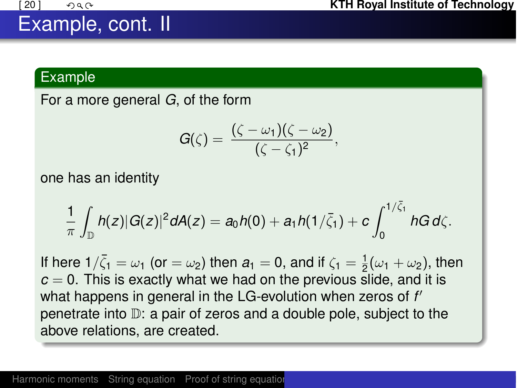### Example, cont. II

#### Example

For a more general *G*, of the form

$$
G(\zeta)=\frac{(\zeta-\omega_1)(\zeta-\omega_2)}{(\zeta-\zeta_1)^2},
$$

one has an identity

$$
\frac{1}{\pi}\int_{\mathbb{D}}h(z)|G(z)|^2dA(z)=a_0h(0)+a_1h(1/\bar{\zeta}_1)+c\int_0^{1/\bar{\zeta}_1}hG\,d\zeta.
$$

If here  $1/\bar{\zeta}_1 = \omega_1$  (or  $= \omega_2$ ) then  $a_1 = 0$ , and if  $\zeta_1 = \frac{1}{2}(\omega_1 + \omega_2)$ , then  $c = 0$ . This is exactly what we had on the previous slide, and it is what happens in general in the LG-evolution when zeros of f' penetrate into D: a pair of zeros and a double pole, subject to the above relations, are created.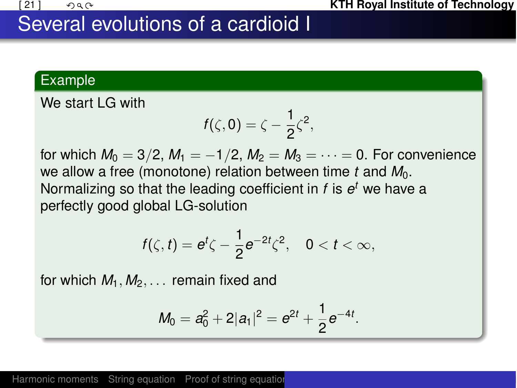### Several evolutions of a cardioid I

#### Example

We start LG with

$$
f(\zeta,0)=\zeta-\frac{1}{2}\zeta^2,
$$

for which  $M_0 = 3/2$ ,  $M_1 = -1/2$ ,  $M_2 = M_3 = \cdots = 0$ . For convenience we allow a free (monotone) relation between time *t* and  $M_0$ . Normalizing so that the leading coefficient in *f* is *e<sup>t</sup>* we have a perfectly good global LG-solution

$$
f(\zeta,t)=e^t\zeta-\frac{1}{2}e^{-2t}\zeta^2,\quad 0
$$

for which  $M_1, M_2, \ldots$  remain fixed and

<span id="page-22-0"></span>
$$
M_0 = a_0^2 + 2|a_1|^2 = e^{2t} + \frac{1}{2}e^{-4t}.
$$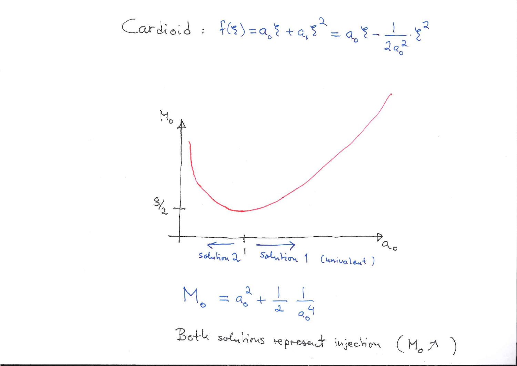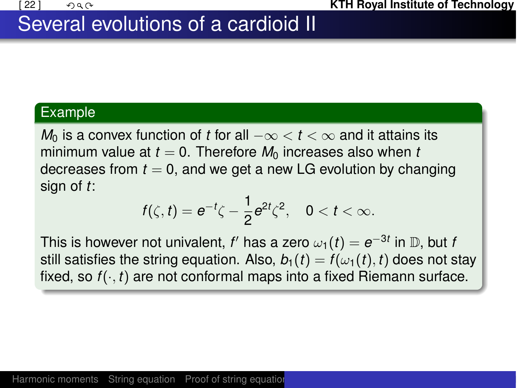### Several evolutions of a cardioid II

#### Example

*M*<sub>0</sub> is a convex function of *t* for all  $-\infty < t < \infty$  and it attains its minimum value at  $t = 0$ . Therefore  $M_0$  increases also when t decreases from  $t = 0$ , and we get a new LG evolution by changing sign of *t*:

$$
f(\zeta,t)=e^{-t}\zeta-\frac{1}{2}e^{2t}\zeta^2,\quad 0
$$

This is however not univalent, *f'* has a zero  $\omega_1(t) = e^{-3t}$  in D, but *f* still satisfies the string equation. Also,  $b_1(t) = f(\omega_1(t), t)$  does not stay fixed, so  $f(\cdot, t)$  are not conformal maps into a fixed Riemann surface.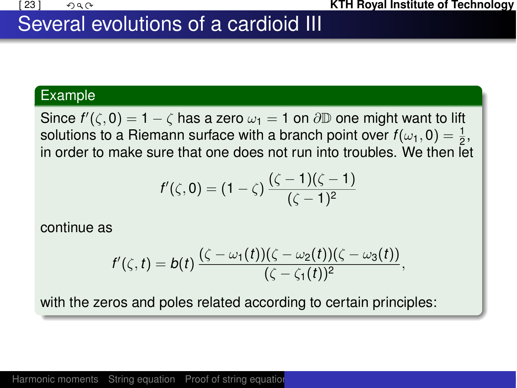### Several evolutions of a cardioid III

#### Example

Since  $f'(\zeta,0) = 1 - \zeta$  has a zero  $\omega_1 = 1$  on  $\partial \mathbb{D}$  one might want to lift solutions to a Riemann surface with a branch point over  $f(\omega_1, 0) = \frac{1}{2}$ , in order to make sure that one does not run into troubles. We then let

$$
f'(\zeta,0)=(1-\zeta)\frac{(\zeta-1)(\zeta-1)}{(\zeta-1)^2}
$$

continue as

$$
f'(\zeta,t)=b(t)\frac{(\zeta-\omega_1(t))(\zeta-\omega_2(t))(\zeta-\omega_3(t))}{(\zeta-\zeta_1(t))^2},
$$

with the zeros and poles related according to certain principles: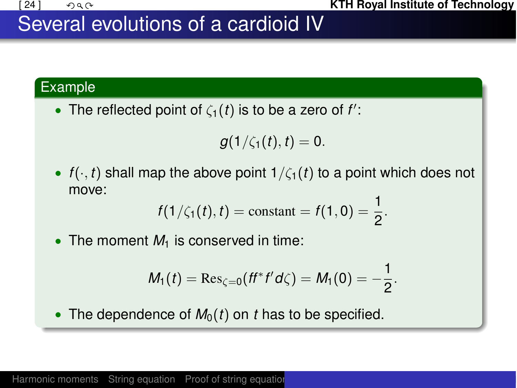### Several evolutions of a cardioid IV

### Example

• The reflected point of  $\zeta_1(t)$  is to be a zero of  $f'$ :

$$
g(1/\zeta_1(t),t)=0.
$$

•  $f(\cdot, t)$  shall map the above point  $1/\zeta_1(t)$  to a point which does not move:

$$
f(1/\zeta_1(t), t) = \text{constant} = f(1, 0) = \frac{1}{2}.
$$

• The moment  $M_1$  is conserved in time:

$$
M_1(t) = \text{Res}_{\zeta=0}(ff^*f'd\zeta) = M_1(0) = -\frac{1}{2}.
$$

• The dependence of  $M_0(t)$  on *t* has to be specified.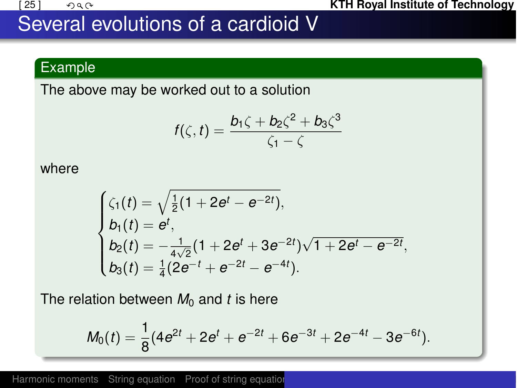

### Several evolutions of a cardioid V

### Example

The above may be worked out to a solution

$$
f(\zeta,t)=\frac{b_1\zeta+b_2\zeta^2+b_3\zeta^3}{\zeta_1-\zeta}
$$

where

$$
\begin{cases} \zeta_1(t) = \sqrt{\frac{1}{2}(1+2e^t-e^{-2t})}, \\ b_1(t) = e^t, \\ b_2(t) = -\frac{1}{4\sqrt{2}}(1+2e^t+3e^{-2t})\sqrt{1+2e^t-e^{-2t}}, \\ b_3(t) = \frac{1}{4}(2e^{-t}+e^{-2t}-e^{-4t}). \end{cases}
$$

The relation between  $M_0$  and *t* is here

$$
M_0(t) = \frac{1}{8}(4e^{2t} + 2e^t + e^{-2t} + 6e^{-3t} + 2e^{-4t} - 3e^{-6t}).
$$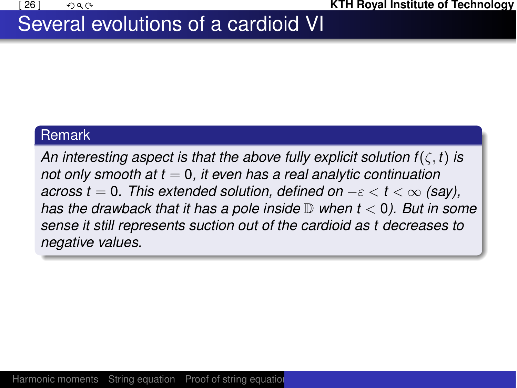### Several evolutions of a cardioid VI

### **Remark**

An interesting aspect is that the above fully explicit solution  $f(\zeta, t)$  is *not only smooth at t* = 0*, it even has a real analytic continuation across t* = 0. This extended solution, defined on  $-\varepsilon < t < \infty$  (say), *has the drawback that it has a pole inside* D *when t <* 0*). But in some sense it still represents suction out of the cardioid as t decreases to negative values.*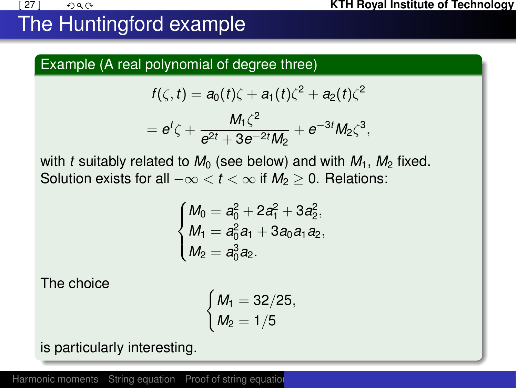# The Huntingford example

### Example (A real polynomial of degree three)

$$
f(\zeta, t) = a_0(t)\zeta + a_1(t)\zeta^2 + a_2(t)\zeta^2
$$
  
=  $e^t\zeta + \frac{M_1\zeta^2}{e^2t + 2e^{-2t}M_1} + e^{-3t}M_2\zeta^3$ ,

with *t* suitably related to 
$$
M_0
$$
 (see below) and with  $M_1$ ,  $M_2$  fixed.  
Solution exists for all  $-\infty < t < \infty$  if  $M_2 \ge 0$ . Relations:

 $e^{2t} + 3e^{-2t}M_2$ 

$$
\begin{cases} M_0 = a_0^2 + 2a_1^2 + 3a_2^2, \\ M_1 = a_0^2 a_1 + 3a_0 a_1 a_2, \\ M_2 = a_0^3 a_2. \end{cases}
$$

The choice

<span id="page-29-0"></span>
$$
\begin{cases} M_1=32/25,\\ M_2=1/5\end{cases}
$$

is particularly interesting.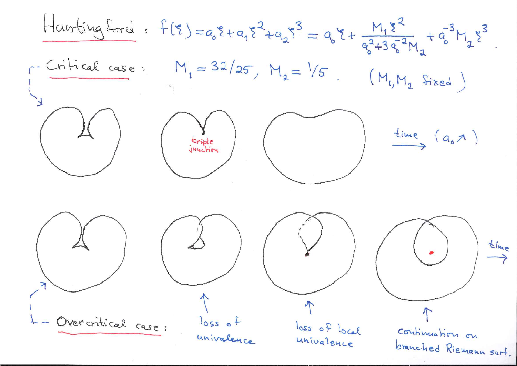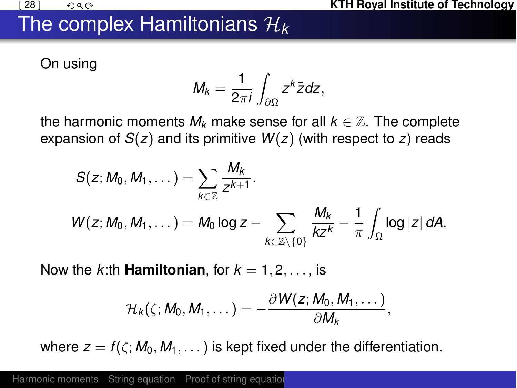## The complex Hamiltonians *H<sup>k</sup>*

On using

$$
M_k=\frac{1}{2\pi i}\int_{\partial\Omega}z^k\bar{z}dz,
$$

the harmonic moments  $M_k$  make sense for all  $k \in \mathbb{Z}$ . The complete expansion of *S*(*z*) and its primitive *W*(*z*) (with respect to *z*) reads

$$
S(z; M_0, M_1, \dots) = \sum_{k \in \mathbb{Z}} \frac{M_k}{z^{k+1}}.
$$
  

$$
W(z; M_0, M_1, \dots) = M_0 \log z - \sum_{k \in \mathbb{Z} \setminus \{0\}} \frac{M_k}{k z^k} - \frac{1}{\pi} \int_{\Omega} \log |z| dA.
$$

Now the *k*:th **Hamiltonian**, for  $k = 1, 2, \ldots$ , is

<span id="page-31-0"></span>
$$
\mathcal{H}_k(\zeta; M_0, M_1, \dots) = -\frac{\partial W(z; M_0, M_1, \dots)}{\partial M_k},
$$

where  $z = f(\zeta; M_0, M_1, \ldots)$  is kept fixed under the differentiation.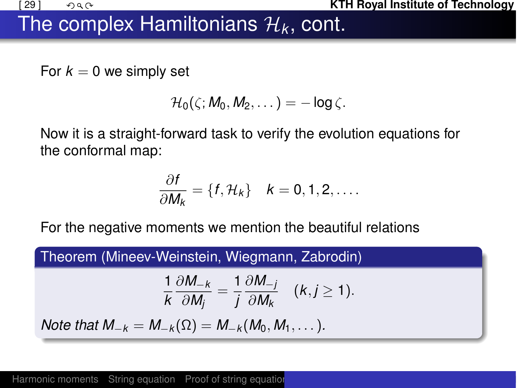

#### **EXECUTE:**  $\mathsf{ATH}$  Royal Institute of Technology

## The complex Hamiltonians  $\mathcal{H}_k$ , cont.

For  $k = 0$  we simply set

$$
\mathcal{H}_0(\zeta; M_0, M_2, \dots) = -\log \zeta.
$$

Now it is a straight-forward task to verify the evolution equations for the conformal map:

$$
\frac{\partial f}{\partial M_k} = \{f, \mathcal{H}_k\} \quad k = 0, 1, 2, \dots
$$

For the negative moments we mention the beautiful relations

Theorem (Mineev-Weinstein, Wiegmann, Zabrodin)

$$
\frac{1}{k}\frac{\partial M_{-k}}{\partial M_j}=\frac{1}{j}\frac{\partial M_{-j}}{\partial M_k} \quad (k,j\geq 1).
$$

*Note that*  $M_{-k} = M_{-k}(\Omega) = M_{-k}(M_0, M_1, \dots)$ .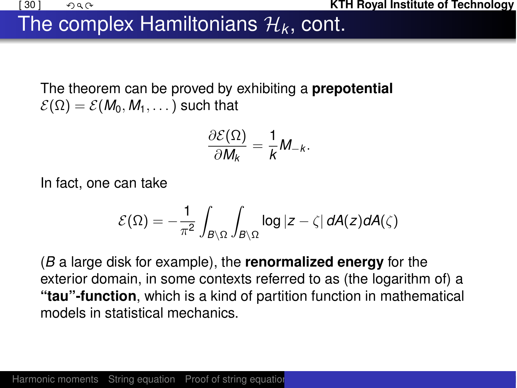## The complex Hamiltonians  $\mathcal{H}_k$ , cont.

The theorem can be proved by exhibiting a **prepotential**  $\mathcal{E}(\Omega) = \mathcal{E}(M_0, M_1, \dots)$  such that

$$
\frac{\partial \mathcal{E}(\Omega)}{\partial M_k} = \frac{1}{k} M_{-k}.
$$

In fact, one can take

$$
\mathcal{E}(\Omega) = -\frac{1}{\pi^2} \int_{B \setminus \Omega} \int_{B \setminus \Omega} \log |z - \zeta| \ dA(z) dA(\zeta)
$$

(*B* a large disk for example), the **renormalized energy** for the exterior domain, in some contexts referred to as (the logarithm of) a **"tau"-function**, which is a kind of partition function in mathematical models in statistical mechanics.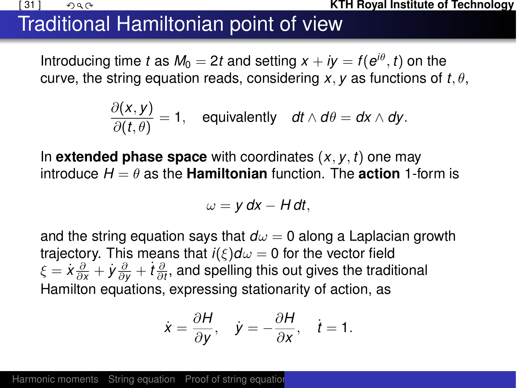#### **(31)**  $\bigcirc$  $\bigcirc$  $\bigcirc$  $\bigcirc$  $\bigcirc$  $\bigcirc$  $\bigcirc$  $\bigcirc$  $\bigcirc$  $\bigcirc$  $\bigcirc$  $\bigcirc$  $\bigcirc$  $\bigcirc$  $\bigcirc$  $\bigcirc$  $\bigcirc$  $\bigcirc$  $\bigcirc$  $\bigcirc$  $\bigcirc$  $\bigcirc$  $\bigcirc$  $\bigcirc$  $\bigcirc$  $\bigcirc$  $\bigcirc$  $\bigcirc$  $\bigcirc$  $\bigcirc$  $\bigcirc$  $\bigcirc$  $\bigcirc$  $\bigcirc$  $\bigcirc$  $\bigcirc$

# Traditional Hamiltonian point of view

Introducing time *t* as  $M_0 = 2t$  and setting  $x + iy = f(e^{i\theta}, t)$  on the curve, the string equation reads, considering  $x$ ,  $y$  as functions of  $t$ *,*  $\theta$ .

$$
\frac{\partial(x,y)}{\partial(t,\theta)}=1, \quad \text{equivalently} \quad dt \wedge d\theta = dx \wedge dy.
$$

In **extended phase space** with coordinates  $(x, y, t)$  one may introduce  $H = \theta$  as the **Hamiltonian** function. The **action** 1-form is

$$
\omega = y \, dx - H \, dt,
$$

and the string equation says that  $d\omega = 0$  along a Laplacian growth trajectory. This means that  $i(\xi)d\omega = 0$  for the vector field  $\xi=\dot{x}\frac{\partial}{\partial x}+\dot{y}\frac{\partial}{\partial y}+\dot{t}\frac{\partial}{\partial t},$  and spelling this out gives the traditional Hamilton equations, expressing stationarity of action, as

<span id="page-34-0"></span>
$$
\dot{x} = \frac{\partial H}{\partial y}, \quad \dot{y} = -\frac{\partial H}{\partial x}, \quad \dot{t} = 1.
$$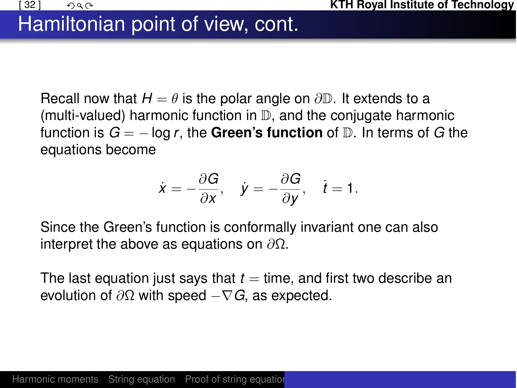# Hamiltonian point of view, cont.

Recall now that  $H = \theta$  is the polar angle on  $\partial \mathbb{D}$ . It extends to a (multi-valued) harmonic function in  $\mathbb{D}$ , and the conjugate harmonic function is  $G = -\log r$ , the **Green's function** of  $D$ . In terms of G the equations become

$$
\dot{x} = -\frac{\partial G}{\partial x}, \quad \dot{y} = -\frac{\partial G}{\partial y}, \quad \dot{t} = 1.
$$

Since the Green's function is conformally invariant one can also interpret the above as equations on  $\partial\Omega$ .

The last equation just says that  $t =$  time, and first two describe an evolution of  $\partial\Omega$  with speed  $-\nabla G$ , as expected.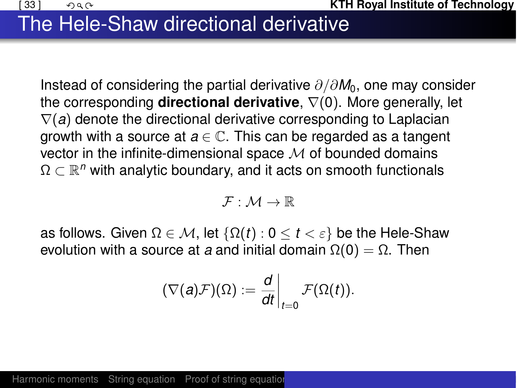## The Hele-Shaw directional derivative

Instead of considering the partial derivative  $\partial/\partial M_0$ , one may consider the corresponding **directional derivative**,  $\nabla(0)$ . More generally, let  $\nabla(a)$  denote the directional derivative corresponding to Laplacian growth with a source at  $a \in \mathbb{C}$ . This can be regarded as a tangent vector in the infinite-dimensional space *M* of bounded domains  $\Omega \subset \mathbb{R}^n$  with analytic boundary, and it acts on smooth functionals

<span id="page-36-0"></span>
$$
\mathcal{F}:\mathcal{M}\to\mathbb{R}
$$

as follows. Given  $\Omega \in \mathcal{M}$ , let  $\{\Omega(t): 0 \le t < \varepsilon\}$  be the Hele-Shaw evolution with a source at *a* and initial domain  $\Omega(0) = \Omega$ . Then

$$
(\nabla(a)\mathcal{F})(\Omega):=\frac{d}{dt}\bigg|_{t=0}\mathcal{F}(\Omega(t)).
$$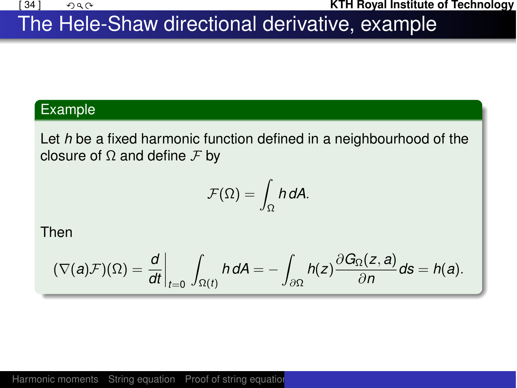#### **EXECUTE:**  $\mathsf{A}$  and  $\mathsf{A}$  is a set of  $\mathsf{A}$  is a set of  $\mathsf{A}$  is a set of  $\mathsf{A}$  is a set of  $\mathsf{A}$  is a set of  $\mathsf{A}$  is a set of  $\mathsf{A}$  is a set of  $\mathsf{A}$  is a set of  $\mathsf{A}$  is a set of  $\mathsf{A}$

## The Hele-Shaw directional derivative, example

#### Example

Let *h* be a fixed harmonic function defined in a neighbourhood of the closure of  $\Omega$  and define  $\mathcal F$  by

$$
\mathcal{F}(\Omega)=\int_{\Omega} h\,dA.
$$

Then

$$
(\nabla(a)\mathcal{F})(\Omega)=\frac{d}{dt}\bigg|_{t=0}\int_{\Omega(t)}h\,dA=-\int_{\partial\Omega}h(z)\frac{\partial G_{\Omega}(z,a)}{\partial n}ds=h(a).
$$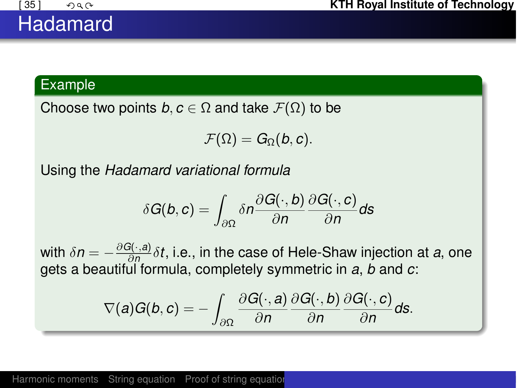#### Example

Choose two points  $b, c \in \Omega$  and take  $\mathcal{F}(\Omega)$  to be

$$
\mathcal{F}(\Omega)=G_{\Omega}(b,c).
$$

Using the *Hadamard variational formula*

$$
\delta G(b, c) = \int_{\partial \Omega} \delta n \frac{\partial G(\cdot, b)}{\partial n} \frac{\partial G(\cdot, c)}{\partial n} ds
$$

with  $\delta n = -\frac{\partial G(\cdot,a)}{\partial n} \delta t$ , i.e., in the case of Hele-Shaw injection at *a*, one gets a beautiful formula, completely symmetric in *a*, *b* and *c*:

<span id="page-38-0"></span>
$$
\nabla(a)G(b,c)=-\int_{\partial\Omega}\frac{\partial G(\cdot,a)}{\partial n}\frac{\partial G(\cdot,b)}{\partial n}\frac{\partial G(\cdot,c)}{\partial n}ds.
$$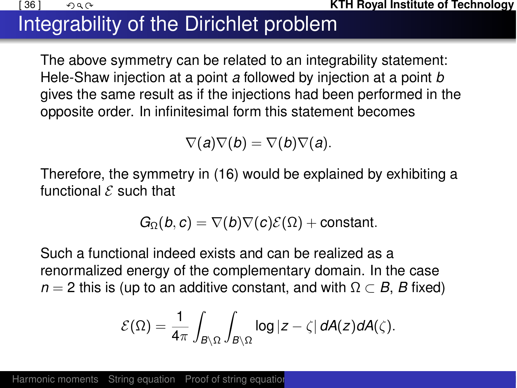

#### **(36 ] <b>KTH Royal Institute of Technology KTH Royal Institute of Technology**

# Integrability of the Dirichlet problem

The above symmetry can be related to an integrability statement: Hele-Shaw injection at a point *a* followed by injection at a point *b* gives the same result as if the injections had been performed in the opposite order. In infinitesimal form this statement becomes

 $\nabla(a)\nabla(b) = \nabla(b)\nabla(a)$ .

Therefore, the symmetry in [\(16\)](#page-38-0) would be explained by exhibiting a functional *E* such that

$$
G_{\Omega}(b,c) = \nabla(b)\nabla(c)\mathcal{E}(\Omega) + \text{constant}.
$$

Such a functional indeed exists and can be realized as a renormalized energy of the complementary domain. In the case  $n = 2$  this is (up to an additive constant, and with  $\Omega \subset B$ , *B* fixed)

<span id="page-39-1"></span><span id="page-39-0"></span>
$$
\mathcal{E}(\Omega) = \frac{1}{4\pi} \int_{B \setminus \Omega} \int_{B \setminus \Omega} \log |z - \zeta| \, dA(z) dA(\zeta).
$$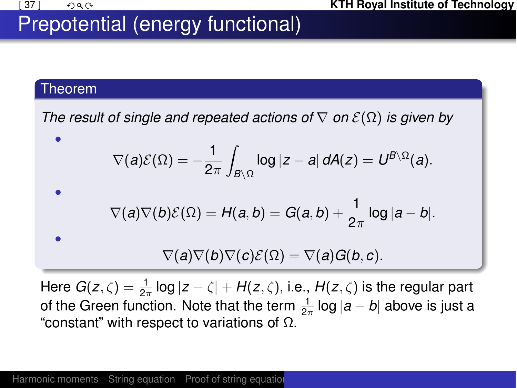# Prepotential (energy functional)

#### Theorem

*The result of single and repeated actions of*  $\nabla$  *on*  $\mathcal{E}(\Omega)$  *is given by* 

<span id="page-40-0"></span>
$$
\nabla(a)\mathcal{E}(\Omega) = -\frac{1}{2\pi} \int_{B \setminus \Omega} \log |z - a| \, dA(z) = U^{B \setminus \Omega}(a).
$$
\n
$$
\nabla(a)\nabla(b)\mathcal{E}(\Omega) = H(a, b) = G(a, b) + \frac{1}{2\pi} \log |a - b|.
$$
\n
$$
\nabla(a)\nabla(b)\nabla(c)\mathcal{E}(\Omega) = \nabla(a)G(b, c).
$$

<span id="page-40-2"></span><span id="page-40-1"></span>Here  $G(z,\zeta)=\frac{1}{2\pi}\log|z-\zeta|+H(z,\zeta)$ , i.e.,  $H(z,\zeta)$  is the regular part of the Green function. Note that the term  $\frac{1}{2\pi}$  log  $|a-b|$  above is just a "constant" with respect to variations of  $\Omega$ .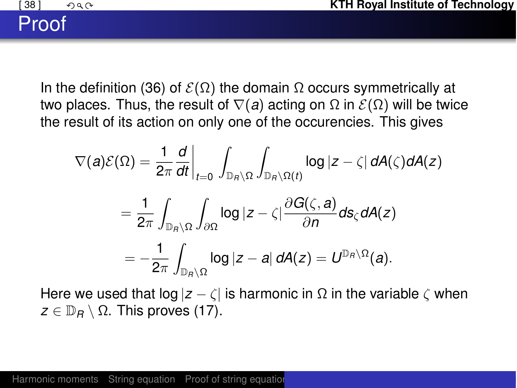# Proof

In the definition [\(36\)](#page-39-1) of  $\mathcal{E}(\Omega)$  the domain  $\Omega$  occurs symmetrically at two places. Thus, the result of  $\nabla(a)$  acting on  $\Omega$  in  $\mathcal{E}(\Omega)$  will be twice the result of its action on only one of the occurencies. This gives

$$
\nabla(a)\mathcal{E}(\Omega) = \frac{1}{2\pi} \frac{d}{dt}\Big|_{t=0} \int_{\mathbb{D}_R \setminus \Omega} \int_{\mathbb{D}_R \setminus \Omega(t)} \log |z - \zeta| dA(\zeta) dA(z)
$$
  
= 
$$
\frac{1}{2\pi} \int_{\mathbb{D}_R \setminus \Omega} \int_{\partial \Omega} \log |z - \zeta| \frac{\partial G(\zeta, a)}{\partial n} ds_{\zeta} dA(z)
$$
  
= 
$$
-\frac{1}{2\pi} \int_{\mathbb{D}_R \setminus \Omega} \log |z - a| dA(z) = U^{\mathbb{D}_R \setminus \Omega}(a).
$$

Here we used that  $log |z - \zeta|$  is harmonic in  $\Omega$  in the variable  $\zeta$  when  $z \in \mathbb{D}_B \setminus \Omega$ . This proves [\(17\)](#page-40-0).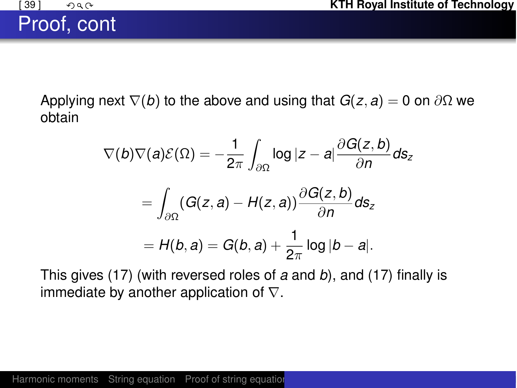Proof, cont

Applying next  $\nabla$ (*b*) to the above and using that  $G(z, a) = 0$  on  $\partial\Omega$  we obtain

$$
\nabla(b)\nabla(a)\mathcal{E}(\Omega) = -\frac{1}{2\pi} \int_{\partial\Omega} \log|z-a| \frac{\partial G(z,b)}{\partial n} ds_z
$$

$$
= \int_{\partial\Omega} (G(z,a) - H(z,a)) \frac{\partial G(z,b)}{\partial n} ds_z
$$

$$
= H(b,a) = G(b,a) + \frac{1}{2\pi} \log|b-a|.
$$

This gives [\(17\)](#page-40-1) (with reversed roles of *a* and *b*), and [\(17\)](#page-40-2) finally is immediate by another application of  $\nabla$ .